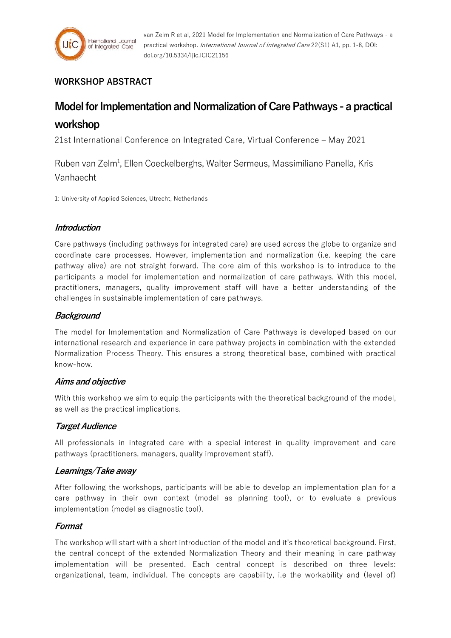# **WORKSHOP ABSTRACT**

# **Model for Implementation and Normalization of Care Pathways - a practical workshop**

21st International Conference on Integrated Care, Virtual Conference – May 2021

Ruben van Zelm<sup>1</sup>, Ellen Coeckelberghs, Walter Sermeus, Massimiliano Panella, Kris Vanhaecht

1: University of Applied Sciences, Utrecht, Netherlands

## **Introduction**

Care pathways (including pathways for integrated care) are used across the globe to organize and coordinate care processes. However, implementation and normalization (i.e. keeping the care pathway alive) are not straight forward. The core aim of this workshop is to introduce to the participants a model for implementation and normalization of care pathways. With this model, practitioners, managers, quality improvement staff will have a better understanding of the challenges in sustainable implementation of care pathways.

## **Background**

The model for Implementation and Normalization of Care Pathways is developed based on our international research and experience in care pathway projects in combination with the extended Normalization Process Theory. This ensures a strong theoretical base, combined with practical know-how.

#### **Aims and objective**

With this workshop we aim to equip the participants with the theoretical background of the model, as well as the practical implications.

#### **Target Audience**

All professionals in integrated care with a special interest in quality improvement and care pathways (practitioners, managers, quality improvement staff).

#### **Learnings/Take away**

After following the workshops, participants will be able to develop an implementation plan for a care pathway in their own context (model as planning tool), or to evaluate a previous implementation (model as diagnostic tool).

#### **Format**

The workshop will start with a short introduction of the model and it's theoretical background. First, the central concept of the extended Normalization Theory and their meaning in care pathway implementation will be presented. Each central concept is described on three levels: organizational, team, individual. The concepts are capability, i.e the workability and (level of)